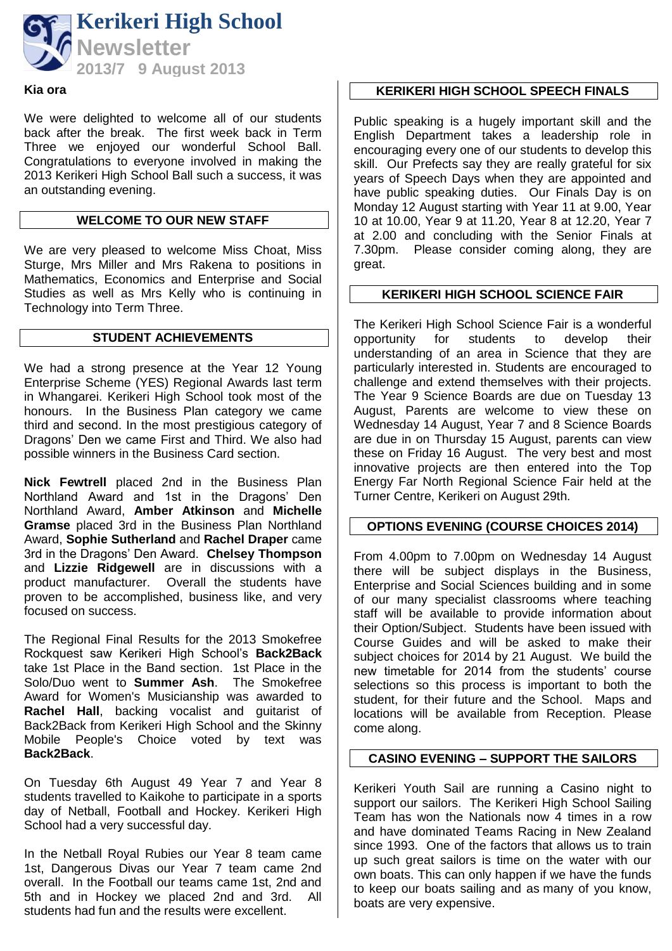

#### **Kia ora**

We were delighted to welcome all of our students back after the break. The first week back in Term Three we enjoyed our wonderful School Ball. Congratulations to everyone involved in making the 2013 Kerikeri High School Ball such a success, it was an outstanding evening.

#### **WELCOME TO OUR NEW STAFF**

We are very pleased to welcome Miss Choat, Miss Sturge, Mrs Miller and Mrs Rakena to positions in Mathematics, Economics and Enterprise and Social Studies as well as Mrs Kelly who is continuing in Technology into Term Three.

#### **STUDENT ACHIEVEMENTS**

We had a strong presence at the Year 12 Young Enterprise Scheme (YES) Regional Awards last term in Whangarei. Kerikeri High School took most of the honours. In the Business Plan category we came third and second. In the most prestigious category of Dragons' Den we came First and Third. We also had possible winners in the Business Card section.

**Nick Fewtrell** placed 2nd in the Business Plan Northland Award and 1st in the Dragons' Den Northland Award, **Amber Atkinson** and **Michelle Gramse** placed 3rd in the Business Plan Northland Award, **Sophie Sutherland** and **Rachel Draper** came 3rd in the Dragons' Den Award. **Chelsey Thompson** and **Lizzie Ridgewell** are in discussions with a product manufacturer. Overall the students have proven to be accomplished, business like, and very focused on success.

The Regional Final Results for the 2013 Smokefree Rockquest saw Kerikeri High School's **Back2Back** take 1st Place in the Band section. 1st Place in the Solo/Duo went to **Summer Ash**. The Smokefree Award for Women's Musicianship was awarded to **Rachel Hall**, backing vocalist and guitarist of Back2Back from Kerikeri High School and the Skinny Mobile People's Choice voted by text was **Back2Back**.

On Tuesday 6th August 49 Year 7 and Year 8 students travelled to Kaikohe to participate in a sports day of Netball, Football and Hockey. Kerikeri High School had a very successful day.

In the Netball Royal Rubies our Year 8 team came 1st, Dangerous Divas our Year 7 team came 2nd overall. In the Football our teams came 1st, 2nd and 5th and in Hockey we placed 2nd and 3rd. All students had fun and the results were excellent.

## **KERIKERI HIGH SCHOOL SPEECH FINALS**

Public speaking is a hugely important skill and the English Department takes a leadership role in encouraging every one of our students to develop this skill. Our Prefects say they are really grateful for six years of Speech Days when they are appointed and have public speaking duties. Our Finals Day is on Monday 12 August starting with Year 11 at 9.00, Year 10 at 10.00, Year 9 at 11.20, Year 8 at 12.20, Year 7 at 2.00 and concluding with the Senior Finals at 7.30pm. Please consider coming along, they are great.

#### **KERIKERI HIGH SCHOOL SCIENCE FAIR**

The Kerikeri High School Science Fair is a wonderful<br>opportunity for students to develop their opportunity for students to develop their understanding of an area in Science that they are particularly interested in. Students are encouraged to challenge and extend themselves with their projects. The Year 9 Science Boards are due on Tuesday 13 August, Parents are welcome to view these on Wednesday 14 August, Year 7 and 8 Science Boards are due in on Thursday 15 August, parents can view these on Friday 16 August. The very best and most innovative projects are then entered into the Top Energy Far North Regional Science Fair held at the Turner Centre, Kerikeri on August 29th.

#### **OPTIONS EVENING (COURSE CHOICES 2014)**

From 4.00pm to 7.00pm on Wednesday 14 August there will be subject displays in the Business, Enterprise and Social Sciences building and in some of our many specialist classrooms where teaching staff will be available to provide information about their Option/Subject. Students have been issued with Course Guides and will be asked to make their subject choices for 2014 by 21 August. We build the new timetable for 2014 from the students' course selections so this process is important to both the student, for their future and the School. Maps and locations will be available from Reception. Please come along.

#### **CASINO EVENING – SUPPORT THE SAILORS**

Kerikeri Youth Sail are running a Casino night to support our sailors. The Kerikeri High School Sailing Team has won the Nationals now 4 times in a row and have dominated Teams Racing in New Zealand since 1993. One of the factors that allows us to train up such great sailors is time on the water with our own boats. This can only happen if we have the funds to keep our boats sailing and as many of you know, boats are very expensive.